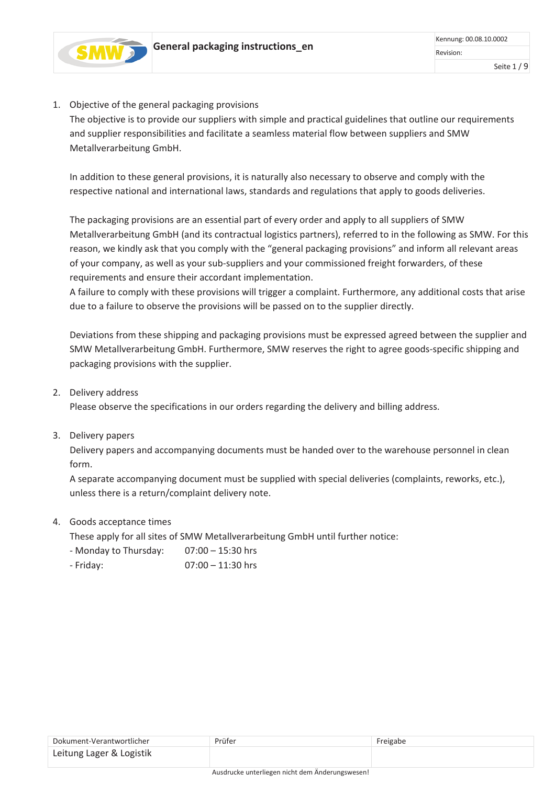

### 1. Objective of the general packaging provisions

The objective is to provide our suppliers with simple and practical guidelines that outline our requirements and supplier responsibilities and facilitate a seamless material flow between suppliers and SMW Metallverarbeitung GmbH.

In addition to these general provisions, it is naturally also necessary to observe and comply with the respective national and international laws, standards and regulations that apply to goods deliveries.

The packaging provisions are an essential part of every order and apply to all suppliers of SMW Metallverarbeitung GmbH (and its contractual logistics partners), referred to in the following as SMW. For this reason, we kindly ask that you comply with the "general packaging provisions" and inform all relevant areas of your company, as well as your sub-suppliers and your commissioned freight forwarders, of these requirements and ensure their accordant implementation.

A failure to comply with these provisions will trigger a complaint. Furthermore, any additional costs that arise due to a failure to observe the provisions will be passed on to the supplier directly.

Deviations from these shipping and packaging provisions must be expressed agreed between the supplier and SMW Metallverarbeitung GmbH. Furthermore, SMW reserves the right to agree goods-specific shipping and packaging provisions with the supplier.

2. Delivery address

Please observe the specifications in our orders regarding the delivery and billing address.

3. Delivery papers

Delivery papers and accompanying documents must be handed over to the warehouse personnel in clean form.

A separate accompanying document must be supplied with special deliveries (complaints, reworks, etc.), unless there is a return/complaint delivery note.

4. Goods acceptance times

These apply for all sites of SMW Metallverarbeitung GmbH until further notice:

- Monday to Thursday: 07:00 15:30 hrs
- Friday: 07:00 11:30 hrs

| Dokument-Verantwortlicher | Prüfer | Freigabe |
|---------------------------|--------|----------|
| Leitung Lager & Logistik  |        |          |
|                           |        |          |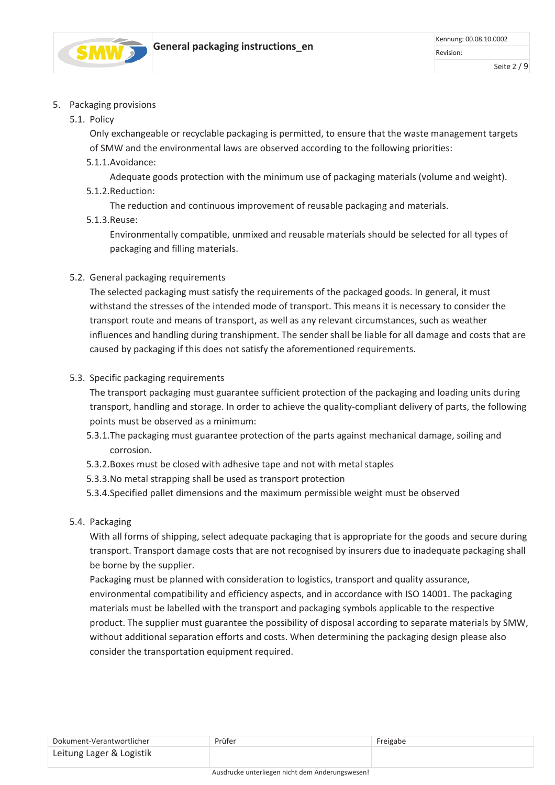

### 5. Packaging provisions

5.1. Policy

Only exchangeable or recyclable packaging is permitted, to ensure that the waste management targets of SMW and the environmental laws are observed according to the following priorities:

5.1.1.Avoidance:

Adequate goods protection with the minimum use of packaging materials (volume and weight).

5.1.2.Reduction:

The reduction and continuous improvement of reusable packaging and materials.

5.1.3.Reuse:

Environmentally compatible, unmixed and reusable materials should be selected for all types of packaging and filling materials.

5.2. General packaging requirements

The selected packaging must satisfy the requirements of the packaged goods. In general, it must withstand the stresses of the intended mode of transport. This means it is necessary to consider the transport route and means of transport, as well as any relevant circumstances, such as weather influences and handling during transhipment. The sender shall be liable for all damage and costs that are caused by packaging if this does not satisfy the aforementioned requirements.

# 5.3. Specific packaging requirements

The transport packaging must guarantee sufficient protection of the packaging and loading units during transport, handling and storage. In order to achieve the quality-compliant delivery of parts, the following points must be observed as a minimum:

- 5.3.1.The packaging must guarantee protection of the parts against mechanical damage, soiling and corrosion.
- 5.3.2.Boxes must be closed with adhesive tape and not with metal staples
- 5.3.3.No metal strapping shall be used as transport protection
- 5.3.4.Specified pallet dimensions and the maximum permissible weight must be observed

# 5.4. Packaging

With all forms of shipping, select adequate packaging that is appropriate for the goods and secure during transport. Transport damage costs that are not recognised by insurers due to inadequate packaging shall be borne by the supplier.

Packaging must be planned with consideration to logistics, transport and quality assurance, environmental compatibility and efficiency aspects, and in accordance with ISO 14001. The packaging materials must be labelled with the transport and packaging symbols applicable to the respective product. The supplier must guarantee the possibility of disposal according to separate materials by SMW, without additional separation efforts and costs. When determining the packaging design please also consider the transportation equipment required.

| Dokument-Verantwortlicher | Prüfer | Freigabe |
|---------------------------|--------|----------|
| Leitung Lager & Logistik  |        |          |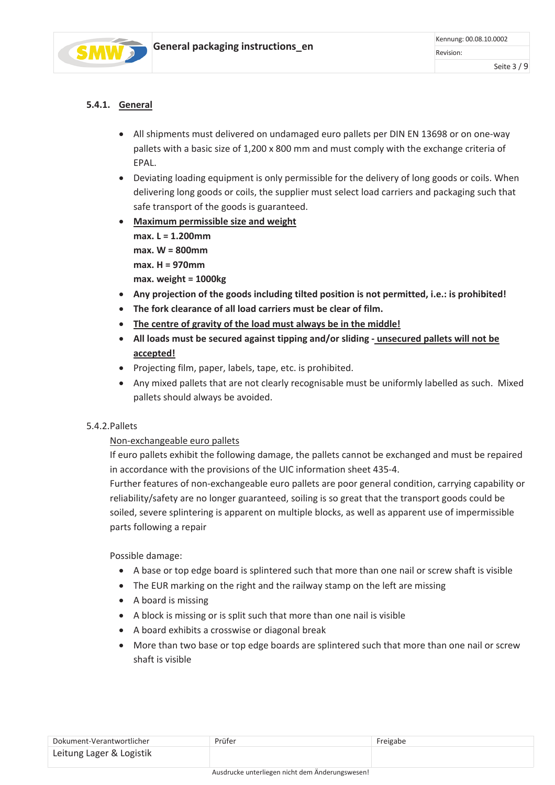

# **5.4.1. General**

- All shipments must delivered on undamaged euro pallets per DIN EN 13698 or on one-way pallets with a basic size of 1,200 x 800 mm and must comply with the exchange criteria of EPAL.
- Deviating loading equipment is only permissible for the delivery of long goods or coils. When delivering long goods or coils, the supplier must select load carriers and packaging such that safe transport of the goods is guaranteed.
- **Maximum permissible size and weight max. L = 1.200mm max. W = 800mm max. H = 970mm max. weight = 1000kg**
- **Any projection of the goods including tilted position is not permitted, i.e.: is prohibited!**
- **The fork clearance of all load carriers must be clear of film.**
- **The centre of gravity of the load must always be in the middle!**
- **All loads must be secured against tipping and/or sliding unsecured pallets will not be accepted!**
- Projecting film, paper, labels, tape, etc. is prohibited.
- Any mixed pallets that are not clearly recognisable must be uniformly labelled as such. Mixed pallets should always be avoided.

#### 5.4.2.Pallets

#### Non-exchangeable euro pallets

If euro pallets exhibit the following damage, the pallets cannot be exchanged and must be repaired in accordance with the provisions of the UIC information sheet 435-4.

Further features of non-exchangeable euro pallets are poor general condition, carrying capability or reliability/safety are no longer guaranteed, soiling is so great that the transport goods could be soiled, severe splintering is apparent on multiple blocks, as well as apparent use of impermissible parts following a repair

Possible damage:

- A base or top edge board is splintered such that more than one nail or screw shaft is visible
- The EUR marking on the right and the railway stamp on the left are missing
- A board is missing
- A block is missing or is split such that more than one nail is visible
- A board exhibits a crosswise or diagonal break
- More than two base or top edge boards are splintered such that more than one nail or screw shaft is visible

| Dokument-Verantwortlicher | Prüfer | Freigabe |
|---------------------------|--------|----------|
| Leitung Lager & Logistik  |        |          |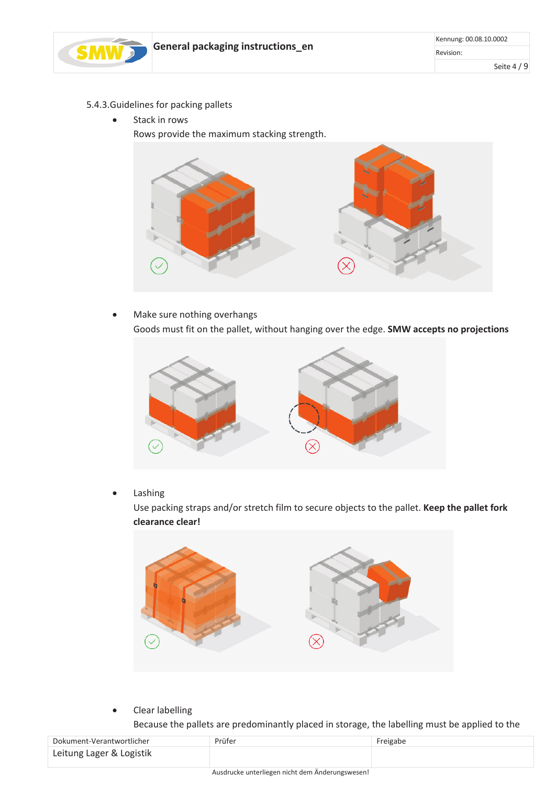

- 5.4.3.Guidelines for packing pallets
	- Stack in rows

Rows provide the maximum stacking strength.



• Make sure nothing overhangs Goods must fit on the pallet, without hanging over the edge. **SMW accepts no projections**



**Lashing** 

Use packing straps and/or stretch film to secure objects to the pallet. **Keep the pallet fork clearance clear!**



- Clear labelling
	- Because the pallets are predominantly placed in storage, the labelling must be applied to the

| Dokument-Verantwortlicher | Prüfer | Freigabe |
|---------------------------|--------|----------|
| Leitung Lager & Logistik  |        |          |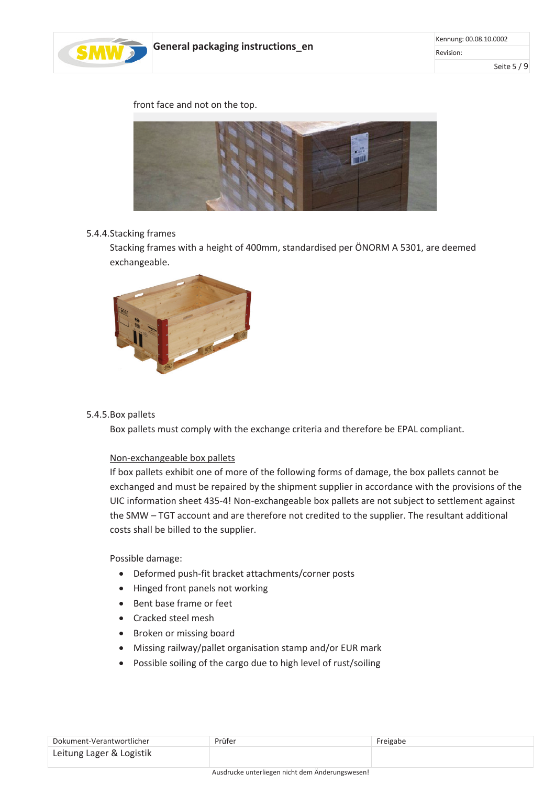

front face and not on the top.



#### 5.4.4.Stacking frames

Stacking frames with a height of 400mm, standardised per ÖNORM A 5301, are deemed exchangeable.



#### 5.4.5.Box pallets

Box pallets must comply with the exchange criteria and therefore be EPAL compliant.

#### Non-exchangeable box pallets

If box pallets exhibit one of more of the following forms of damage, the box pallets cannot be exchanged and must be repaired by the shipment supplier in accordance with the provisions of the UIC information sheet 435-4! Non-exchangeable box pallets are not subject to settlement against the SMW – TGT account and are therefore not credited to the supplier. The resultant additional costs shall be billed to the supplier.

Possible damage:

- Deformed push-fit bracket attachments/corner posts
- Hinged front panels not working
- Bent base frame or feet
- Cracked steel mesh
- Broken or missing board
- Missing railway/pallet organisation stamp and/or EUR mark
- Possible soiling of the cargo due to high level of rust/soiling

| Dokument-Verantwortlicher | Prüfer | Freigabe |
|---------------------------|--------|----------|
| Leitung Lager & Logistik  |        |          |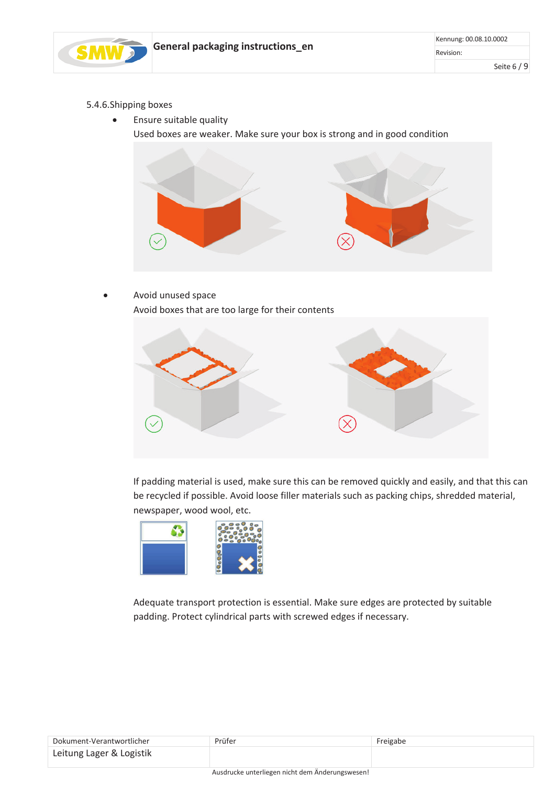

- 5.4.6.Shipping boxes
	- Ensure suitable quality
		- Used boxes are weaker. Make sure your box is strong and in good condition



• Avoid unused space Avoid boxes that are too large for their contents



If padding material is used, make sure this can be removed quickly and easily, and that this can be recycled if possible. Avoid loose filler materials such as packing chips, shredded material, newspaper, wood wool, etc.



Adequate transport protection is essential. Make sure edges are protected by suitable padding. Protect cylindrical parts with screwed edges if necessary.

| Dokument-Verantwortlicher | Prüfer                                                                                                                                                                                                                         | Freigabe |
|---------------------------|--------------------------------------------------------------------------------------------------------------------------------------------------------------------------------------------------------------------------------|----------|
| Leitung Lager & Logistik  |                                                                                                                                                                                                                                |          |
|                           | and the contract of the contract of the contract of the contract of the contract of the contract of the contract of the contract of the contract of the contract of the contract of the contract of the contract of the contra |          |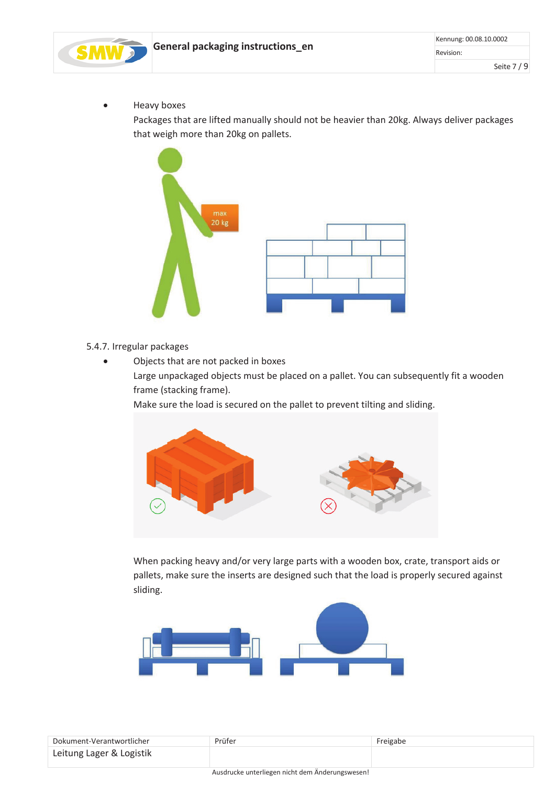

• Heavy boxes

Packages that are lifted manually should not be heavier than 20kg. Always deliver packages that weigh more than 20kg on pallets.



- 5.4.7. Irregular packages
	- Objects that are not packed in boxes Large unpackaged objects must be placed on a pallet. You can subsequently fit a wooden frame (stacking frame).

Make sure the load is secured on the pallet to prevent tilting and sliding.



When packing heavy and/or very large parts with a wooden box, crate, transport aids or pallets, make sure the inserts are designed such that the load is properly secured against sliding.



| Dokument-Verantwortlicher | Prüfer | Freigabe |
|---------------------------|--------|----------|
| Leitung Lager & Logistik  |        |          |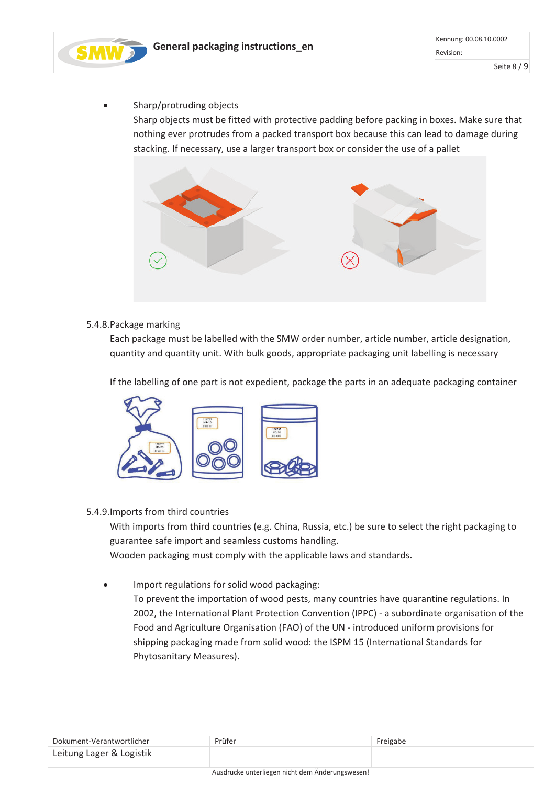

• Sharp/protruding objects

Sharp objects must be fitted with protective padding before packing in boxes. Make sure that nothing ever protrudes from a packed transport box because this can lead to damage during stacking. If necessary, use a larger transport box or consider the use of a pallet



# 5.4.8.Package marking

Each package must be labelled with the SMW order number, article number, article designation, quantity and quantity unit. With bulk goods, appropriate packaging unit labelling is necessary

If the labelling of one part is not expedient, package the parts in an adequate packaging container



#### 5.4.9.Imports from third countries

With imports from third countries (e.g. China, Russia, etc.) be sure to select the right packaging to guarantee safe import and seamless customs handling.

Wooden packaging must comply with the applicable laws and standards.

• Import regulations for solid wood packaging: To prevent the importation of wood pests, many countries have quarantine regulations. In 2002, the International Plant Protection Convention (IPPC) - a subordinate organisation of the Food and Agriculture Organisation (FAO) of the UN - introduced uniform provisions for shipping packaging made from solid wood: the ISPM 15 (International Standards for Phytosanitary Measures).

| Dokument-Verantwortlicher | Prüfer | Freigabe |
|---------------------------|--------|----------|
| Leitung Lager & Logistik  |        |          |